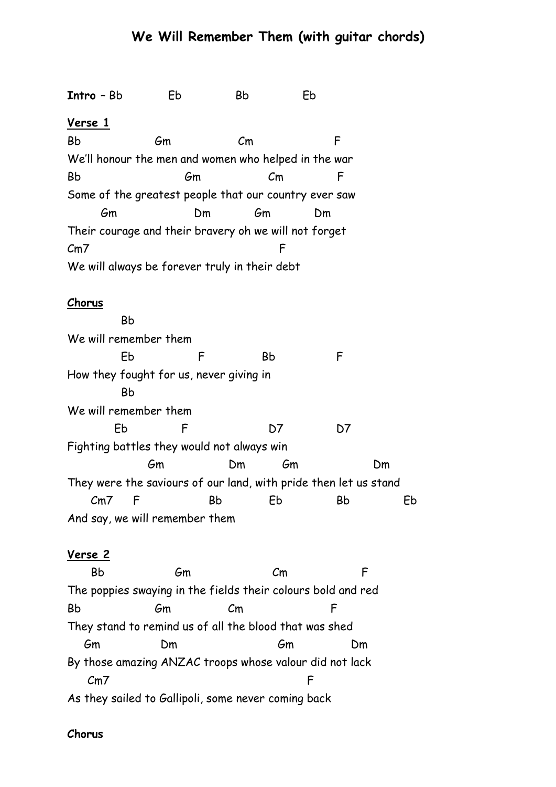# **We Will Remember Them (with guitar chords)**

**Intro** – Bb Eb Bb Eb **Verse 1** Bb Gm Cm F We'll honour the men and women who helped in the war Bb Gm Cm F Some of the greatest people that our country ever saw Gm Dm Gm Dm Their courage and their bravery oh we will not forget Cm7 F We will always be forever truly in their debt

#### **Chorus**

 Bb We will remember them Eb F Bb F How they fought for us, never giving in Bb We will remember them Eb F D7 D7 Fighting battles they would not always win Gm Dm Gm Dm They were the saviours of our land, with pride then let us stand Cm7 F Bb Eb Bb Eb And say, we will remember them

### **Verse 2**

 Bb Gm Cm F The poppies swaying in the fields their colours bold and red Bb Gm Cm F They stand to remind us of all the blood that was shed Gm Dm Gm Dm By those amazing ANZAC troops whose valour did not lack Cm7 F As they sailed to Gallipoli, some never coming back